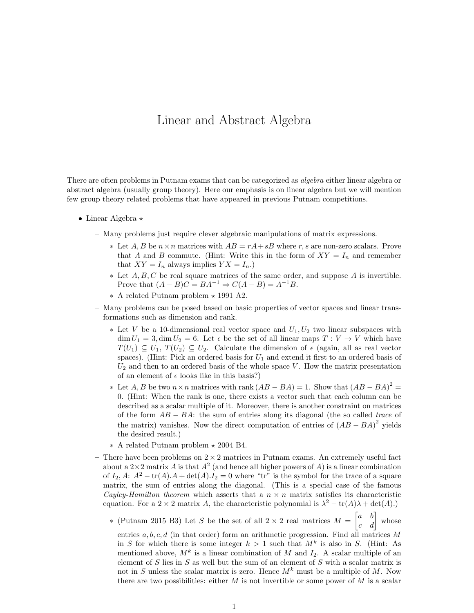## Linear and Abstract Algebra

<span id="page-0-0"></span>There are often problems in Putnam exams that can be categorized as algebra either linear algebra or abstract algebra (usually group theory). Here our emphasis is on linear algebra but we will mention few group theory related problems that have appeared in previous Putnam competitions.

- Linear Algebra  $\star$ 
	- Many problems just require clever algebraic manipulations of matrix expressions.
		- ∗ Let A, B be n×n matrices with AB = rA+sB where r, s are non-zero scalars. Prove that A and B commute. (Hint: Write this in the form of  $XY = I_n$  and remember that  $XY = I_n$  always implies  $YX = I_n$ .
		- $*$  Let  $A, B, C$  be real square matrices of the same order, and suppose A is invertible. Prove that  $(A - B)C = BA^{-1} \Rightarrow C(A - B) = A^{-1}B$ .
		- $\ast$  A related Putnam problem  $\star$  1991 A2.
	- Many problems can be posed based on basic properties of vector spaces and linear transformations such as dimension and rank.
		- $∗$  Let V be a 10-dimensional real vector space and  $U_1, U_2$  two linear subspaces with  $\dim U_1 = 3, \dim U_2 = 6.$  Let  $\epsilon$  be the set of all linear maps  $T : V \to V$  which have  $T(U_1) \subseteq U_1, T(U_2) \subseteq U_2$ . Calculate the dimension of  $\epsilon$  (again, all as real vector spaces). (Hint: Pick an ordered basis for  $U_1$  and extend it first to an ordered basis of  $U_2$  and then to an ordered basis of the whole space V. How the matrix presentation of an element of  $\epsilon$  looks like in this basis?)
		- ∗ Let A, B be two  $n \times n$  matrices with rank  $(AB BA) = 1$ . Show that  $(AB BA)^2 =$ 0. (Hint: When the rank is one, there exists a vector such that each column can be described as a scalar multiple of it. Moreover, there is another constraint on matrices of the form  $AB - BA$ : the sum of entries along its diagonal (the so called *trace* of the matrix) vanishes. Now the direct computation of entries of  $(AB - BA)^2$  yields the desired result.)
		- $\ast$  A related Putnam problem  $\star$  2004 B4.
	- There have been problems on  $2 \times 2$  matrices in Putnam exams. An extremely useful fact about a  $2\times 2$  matrix A is that  $A<sup>2</sup>$  (and hence all higher powers of A) is a linear combination of  $I_2, A: A^2 - \text{tr}(A)A + \text{det}(A)I_2 = 0$  where "tr" is the symbol for the trace of a square matrix, the sum of entries along the diagonal. (This is a special case of the famous Cayley-Hamilton theorem which asserts that a  $n \times n$  matrix satisfies its characteristic equation. For a 2 × 2 matrix A, the characteristic polynomial is  $\lambda^2 - \text{tr}(A)\lambda + \text{det}(A)$ .

\* (Putnam 2015 B3) Let S be the set of all  $2 \times 2$  real matrices  $M = \begin{bmatrix} a & b \\ c & d \end{bmatrix}$  whose entries  $a, b, c, d$  (in that order) form an arithmetic progression. Find all matrices M in S for which there is some integer  $k > 1$  such that  $M^k$  is also in S. (Hint: As mentioned above,  $M^k$  is a linear combination of M and  $I_2$ . A scalar multiple of an element of S lies in S as well but the sum of an element of S with a scalar matrix is not in S unless the scalar matrix is zero. Hence  $M^k$  must be a multiple of M. Now there are two possibilities: either  $M$  is not invertible or some power of  $M$  is a scalar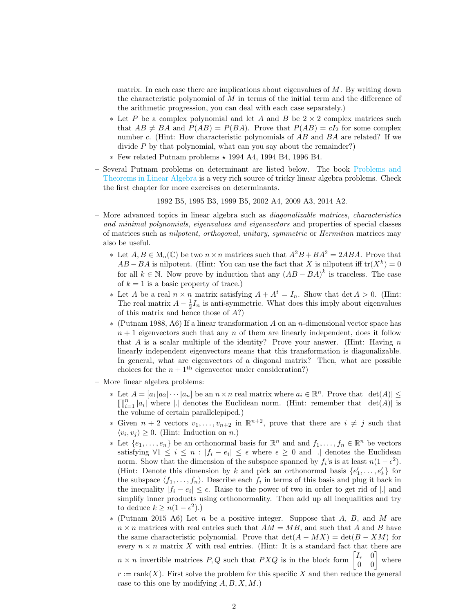matrix. In each case there are implications about eigenvalues of  $M$ . By writing down the characteristic polynomial of  $M$  in terms of the initial term and the difference of the arithmetic progression, you can deal with each case separately.)

- ∗ Let P be a complex polynomial and let A and B be 2 × 2 complex matrices such that  $AB \neq BA$  and  $P(AB) = P(BA)$ . Prove that  $P(AB) = cI_2$  for some complex number c. (Hint: How characteristic polynomials of AB and BA are related? If we divide  $P$  by that polynomial, what can you say about the remainder?)
- ∗ Few related Putnam problems ? 1994 A4, 1994 B4, 1996 B4.
- Several Putnam problems on determinant are listed below. The book [Problems and](#page-0-0) [Theorems in Linear Algebra](#page-0-0) is a very rich source of tricky linear algebra problems. Check the first chapter for more exercises on determinants.

1992 B5, 1995 B3, 1999 B5, 2002 A4, 2009 A3, 2014 A2.

- More advanced topics in linear algebra such as diagonalizable matrices, characteristics and minimal polynomials, eigenvalues and eigenvectors and properties of special classes of matrices such as nilpotent, orthogonal, unitary, symmetric or Hermitian matrices may also be useful.
	- ∗ Let  $A, B \in M_n(\mathbb{C})$  be two  $n \times n$  matrices such that  $A^2B + BA^2 = 2ABA$ . Prove that  $AB - BA$  is nilpotent. (Hint: You can use the fact that X is nilpotent iff  $tr(X^k) = 0$ for all  $k \in \mathbb{N}$ . Now prove by induction that any  $(AB - BA)^k$  is traceless. The case of  $k = 1$  is a basic property of trace.)
	- ∗ Let A be a real  $n \times n$  matrix satisfying  $A + A^t = I_n$ . Show that det  $A > 0$ . (Hint: The real matrix  $A - \frac{1}{2}I_n$  is anti-symmetric. What does this imply about eigenvalues of this matrix and hence those of A?)
	- ∗ (Putnam 1988, A6) If a linear transformation A on an n-dimensional vector space has  $n + 1$  eigenvectors such that any n of them are linearly independent, does it follow that A is a scalar multiple of the identity? Prove your answer. (Hint: Having  $n$ linearly independent eigenvectors means that this transformation is diagonalizable. In general, what are eigenvectors of a diagonal matrix? Then, what are possible choices for the  $n + 1$ <sup>th</sup> eigenvector under consideration?)
- More linear algebra problems:
	- ∗ Let  $A = [a_1 | a_2 | \cdots | a_n]$  be an  $n \times n$  real matrix where  $a_i \in \mathbb{R}^n$ . Prove that  $|\det(A)|$  ≤  $\prod_{i=1}^n |a_i|$  where || denotes the Euclidean norm. (Hint: remember that  $|\det(A)|$  is the volume of certain parallelepiped.)
	- ∗ Given  $n + 2$  vectors  $v_1, \ldots, v_{n+2}$  in  $\mathbb{R}^{n+2}$ , prove that there are  $i \neq j$  such that  $\langle v_i, v_j \rangle \geq 0$ . (Hint: Induction on *n*.)
	- ∗ Let  $\{e_1, \ldots, e_n\}$  be an orthonormal basis for  $\mathbb{R}^n$  and and  $f_1, \ldots, f_n \in \mathbb{R}^n$  be vectors satisfying  $\forall 1 \leq i \leq n : |f_i - e_i| \leq \epsilon$  where  $\epsilon \geq 0$  and  $|.|$  denotes the Euclidean norm. Show that the dimension of the subspace spanned by  $f_i$ 's is at least  $n(1 - \epsilon^2)$ . (Hint: Denote this dimension by k and pick an orthonormal basis  $\{e'_1, \ldots, e'_k\}$  for the subspace  $\langle f_1, \ldots, f_n \rangle$ . Describe each  $f_i$  in terms of this basis and plug it back in the inequality  $|f_i - e_i| \leq \epsilon$ . Raise to the power of two in order to get rid of |. and simplify inner products using orthonormality. Then add up all inequalities and try to deduce  $k \geq n(1 - \epsilon^2)$ .
	- $*$  (Putnam 2015 A6) Let n be a positive integer. Suppose that A, B, and M are  $n \times n$  matrices with real entries such that  $AM = MB$ , and such that A and B have the same characteristic polynomial. Prove that  $\det(A - MX) = \det(B -XM)$  for every  $n \times n$  matrix X with real entries. (Hint: It is a standard fact that there are

 $n \times n$  invertible matrices  $P,Q$  such that  $PXQ$  is in the block form  $I_r$  0  $\begin{bmatrix} I_r & 0 \\ 0 & 0 \end{bmatrix}$ where  $r := \text{rank}(X)$ . First solve the problem for this specific X and then reduce the general case to this one by modifying  $A, B, X, M$ .)